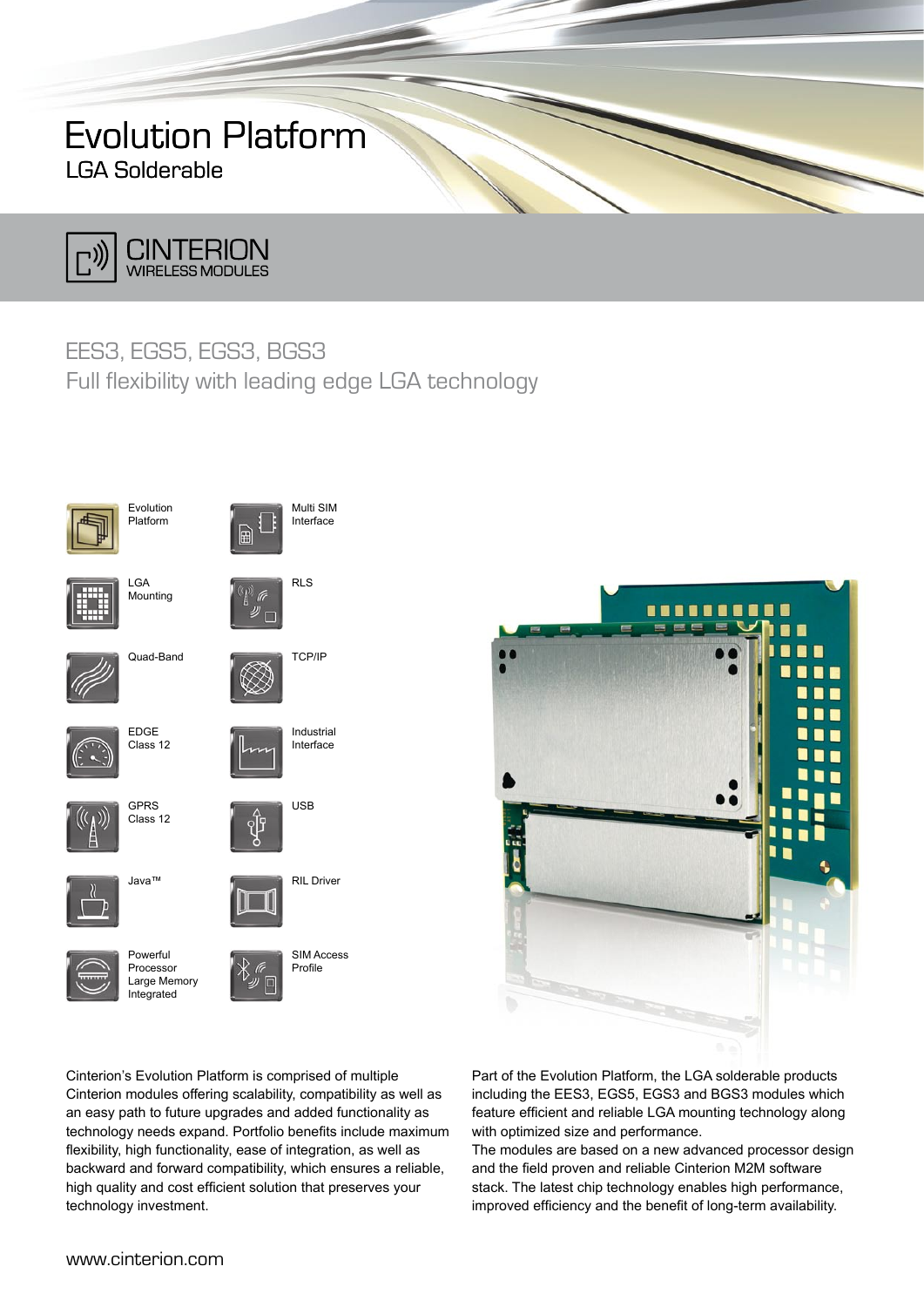# Evolution Platform LGA Solderable



### EES3, EGS5, EGS3, BGS3

Full flexibility with leading edge LGA technology





Cinterion's Evolution Platform is comprised of multiple Cinterion modules offering scalability, compatibility as well as an easy path to future upgrades and added functionality as technology needs expand. Portfolio benefits include maximum flexibility, high functionality, ease of integration, as well as backward and forward compatibility, which ensures a reliable, high quality and cost efficient solution that preserves your technology investment.

Part of the Evolution Platform, the LGA solderable products including the EES3, EGS5, EGS3 and BGS3 modules which feature efficient and reliable LGA mounting technology along with optimized size and performance.

The modules are based on a new advanced processor design and the field proven and reliable Cinterion M2M software stack. The latest chip technology enables high performance, improved efficiency and the benefit of long-term availability.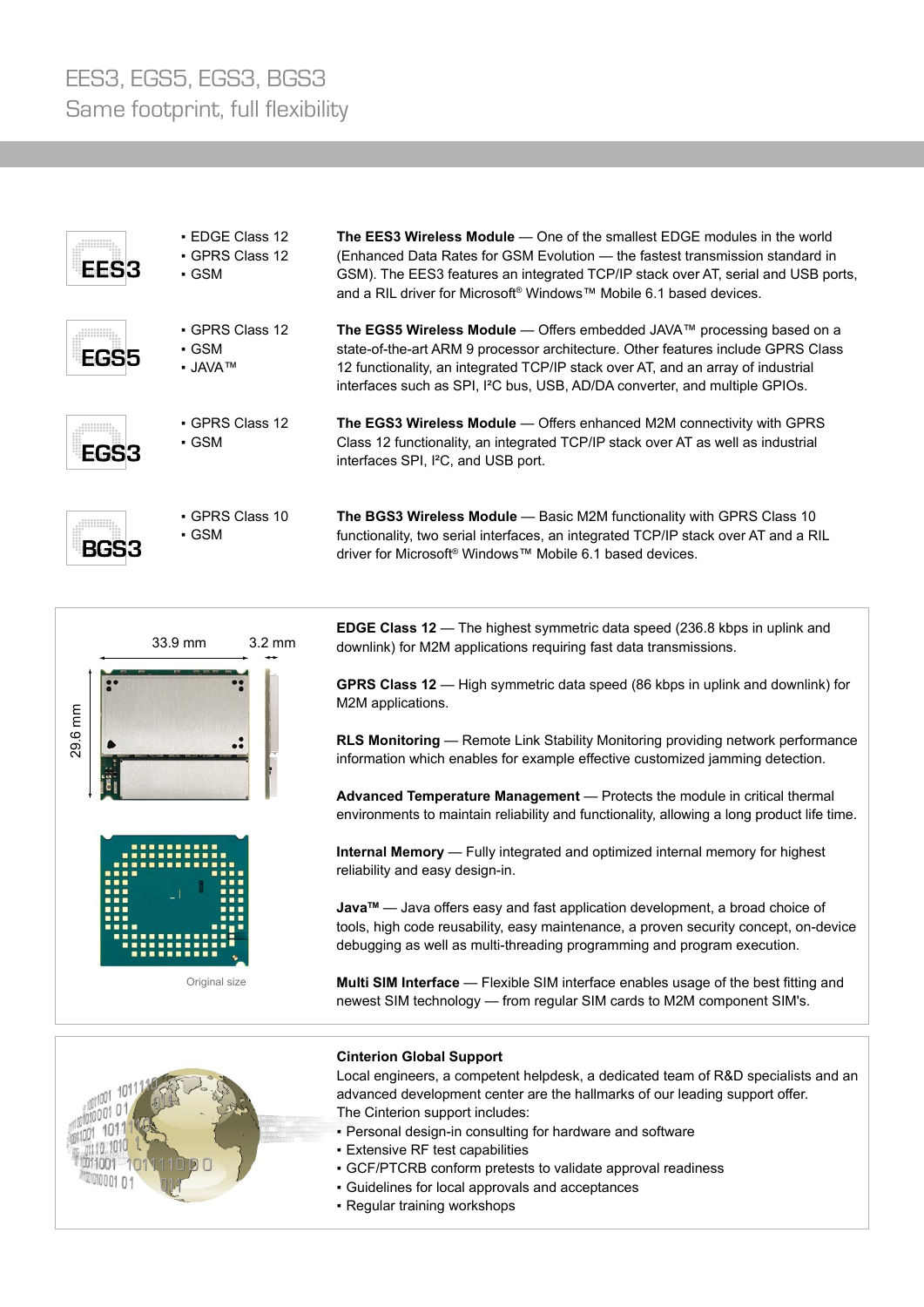| EES3 | • EDGE Class 12<br>• GPRS Class 12<br>• GSM | <b>The EES3 Wireless Module</b> — One of the smallest EDGE modules in the world<br>(Enhanced Data Rates for GSM Evolution - the fastest transmission standard in<br>GSM). The EES3 features an integrated TCP/IP stack over AT, serial and USB ports,<br>and a RIL driver for Microsoft® Windows™ Mobile 6.1 based devices.                                        |
|------|---------------------------------------------|--------------------------------------------------------------------------------------------------------------------------------------------------------------------------------------------------------------------------------------------------------------------------------------------------------------------------------------------------------------------|
| EGS5 | • GPRS Class 12<br>• GSM<br>• JAVA™         | The EGS5 Wireless Module — Offers embedded JAVA <sup><math>m</math></sup> processing based on a<br>state-of-the-art ARM 9 processor architecture. Other features include GPRS Class<br>12 functionality, an integrated TCP/IP stack over AT, and an array of industrial<br>interfaces such as SPI, I <sup>2</sup> C bus, USB, AD/DA converter, and multiple GPIOs. |
| EGS3 | • GPRS Class 12<br>• GSM                    | <b>The EGS3 Wireless Module</b> — Offers enhanced M2M connectivity with GPRS<br>Class 12 functionality, an integrated TCP/IP stack over AT as well as industrial<br>interfaces SPI, I <sup>2</sup> C, and USB port.                                                                                                                                                |
|      | • GPRS Class 10<br>• GSM                    | The BGS3 Wireless Module - Basic M2M functionality with GPRS Class 10<br>functionality, two serial interfaces, an integrated TCP/IP stack over AT and a RIL<br>driver for Microsoft <sup>®</sup> Windows™ Mobile 6.1 based devices.                                                                                                                                |



**EDGE Class 12** — The highest symmetric data speed (236.8 kbps in uplink and downlink) for M2M applications requiring fast data transmissions.

**GPRS Class 12** — High symmetric data speed (86 kbps in uplink and downlink) for M2M applications.

**RLS Monitoring** — Remote Link Stability Monitoring providing network performance information which enables for example effective customized jamming detection.

**Advanced Temperature Management** — Protects the module in critical thermal environments to maintain reliability and functionality, allowing a long product life time.

**Internal Memory** — Fully integrated and optimized internal memory for highest reliability and easy design-in.

**JavaTM** — Java offers easy and fast application development, a broad choice of tools, high code reusability, easy maintenance, a proven security concept, on-device debugging as well as multi-threading programming and program execution.

**Multi SIM Interface** — Flexible SIM interface enables usage of the best fitting and newest SIM technology — from regular SIM cards to M2M component SIM's.



### **Cinterion Global Support**

Local engineers, a competent helpdesk, a dedicated team of R&D specialists and an advanced development center are the hallmarks of our leading support offer. The Cinterion support includes:

- Personal design-in consulting for hardware and software
- Extensive RF test capabilities
- GCF/PTCRB conform pretests to validate approval readiness
- Guidelines for local approvals and acceptances
- Regular training workshops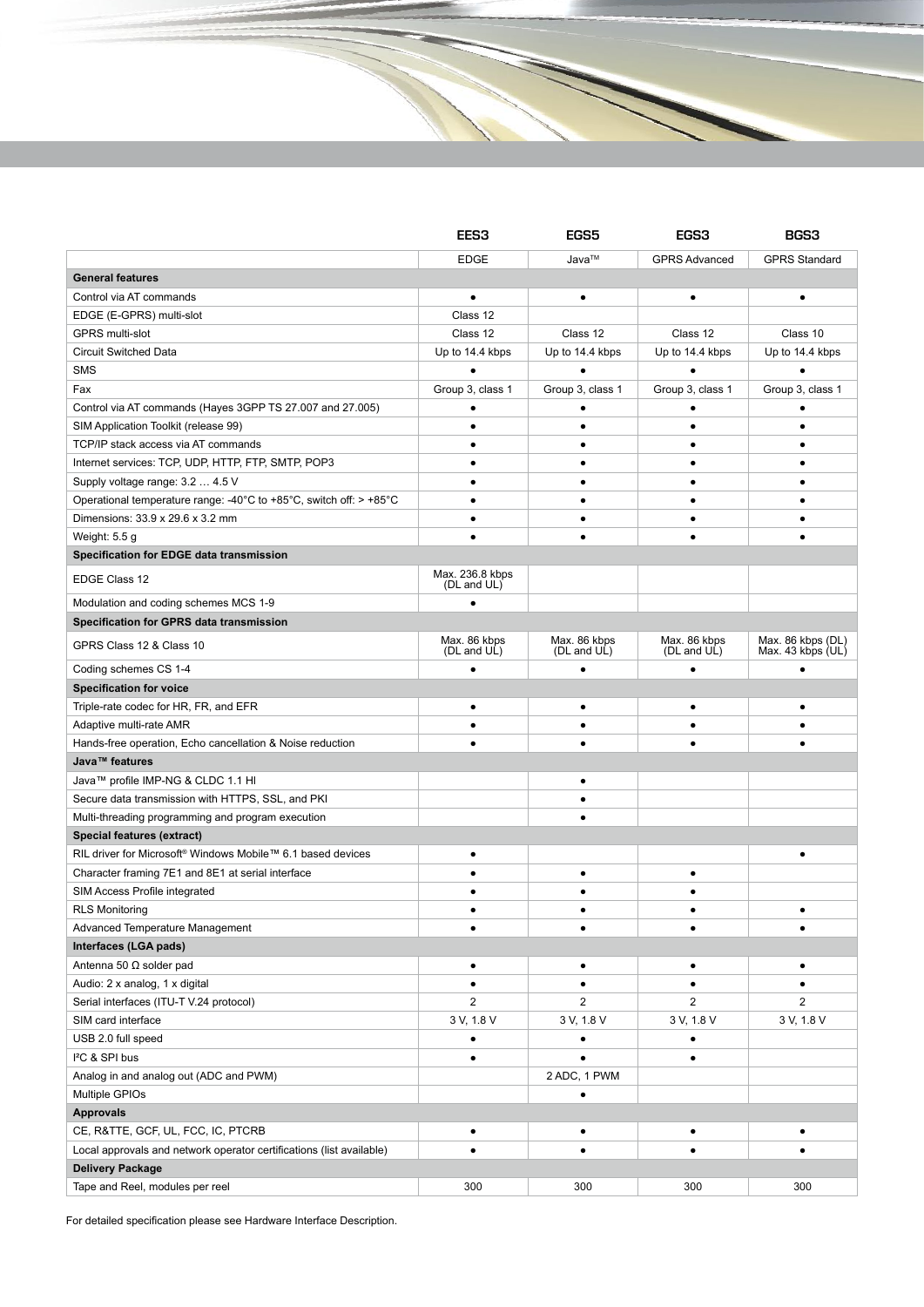|                                                                                                     | <b>EES3</b>                 | <b>EGS5</b>                 | <b>EGS3</b>                 | <b>BGS3</b>                            |  |  |  |
|-----------------------------------------------------------------------------------------------------|-----------------------------|-----------------------------|-----------------------------|----------------------------------------|--|--|--|
|                                                                                                     | <b>EDGE</b>                 | Java™                       | <b>GPRS Advanced</b>        | <b>GPRS Standard</b>                   |  |  |  |
| <b>General features</b>                                                                             |                             |                             |                             |                                        |  |  |  |
| Control via AT commands                                                                             | $\bullet$                   | $\bullet$                   | $\bullet$                   | $\bullet$                              |  |  |  |
| EDGE (E-GPRS) multi-slot                                                                            | Class 12                    |                             |                             |                                        |  |  |  |
| <b>GPRS</b> multi-slot                                                                              | Class 12                    | Class 12                    | Class 12                    | Class 10                               |  |  |  |
| <b>Circuit Switched Data</b>                                                                        | Up to 14.4 kbps             | Up to 14.4 kbps             | Up to 14.4 kbps             | Up to 14.4 kbps                        |  |  |  |
| <b>SMS</b>                                                                                          |                             |                             |                             |                                        |  |  |  |
| Fax                                                                                                 | Group 3, class 1            | Group 3, class 1            | Group 3, class 1            | Group 3, class 1                       |  |  |  |
| Control via AT commands (Hayes 3GPP TS 27.007 and 27.005)                                           | ٠                           |                             |                             |                                        |  |  |  |
| SIM Application Toolkit (release 99)                                                                | ٠                           |                             | ٠                           | ٠                                      |  |  |  |
| TCP/IP stack access via AT commands                                                                 |                             |                             | $\bullet$                   | ٠                                      |  |  |  |
| Internet services: TCP, UDP, HTTP, FTP, SMTP, POP3                                                  |                             |                             | $\bullet$                   | ٠                                      |  |  |  |
| Supply voltage range: 3.2  4.5 V                                                                    |                             |                             | $\bullet$                   | $\bullet$                              |  |  |  |
| Operational temperature range: -40 $^{\circ}$ C to +85 $^{\circ}$ C, switch off: > +85 $^{\circ}$ C |                             |                             | $\bullet$                   | $\bullet$                              |  |  |  |
| Dimensions: 33.9 x 29.6 x 3.2 mm                                                                    |                             |                             | $\bullet$                   |                                        |  |  |  |
| Weight: 5.5 g                                                                                       |                             |                             |                             |                                        |  |  |  |
| Specification for EDGE data transmission                                                            |                             |                             |                             |                                        |  |  |  |
|                                                                                                     | Max. 236.8 kbps             |                             |                             |                                        |  |  |  |
| EDGE Class 12                                                                                       | (DL and UL)                 |                             |                             |                                        |  |  |  |
| Modulation and coding schemes MCS 1-9                                                               |                             |                             |                             |                                        |  |  |  |
| Specification for GPRS data transmission                                                            |                             |                             |                             |                                        |  |  |  |
| GPRS Class 12 & Class 10                                                                            | Max. 86 kbps<br>(DL and UL) | Max. 86 kbps<br>(DL and UL) | Max. 86 kbps<br>(DL and UL) | Max. 86 kbps (DL)<br>Max. 43 kbps (UL) |  |  |  |
| Coding schemes CS 1-4                                                                               |                             |                             |                             |                                        |  |  |  |
| <b>Specification for voice</b>                                                                      |                             |                             |                             |                                        |  |  |  |
| Triple-rate codec for HR, FR, and EFR                                                               |                             |                             |                             |                                        |  |  |  |
| Adaptive multi-rate AMR                                                                             |                             |                             |                             |                                        |  |  |  |
| Hands-free operation, Echo cancellation & Noise reduction                                           |                             |                             | ٠                           |                                        |  |  |  |
| Java™ features                                                                                      |                             |                             |                             |                                        |  |  |  |
| Java™ profile IMP-NG & CLDC 1.1 HI                                                                  |                             | ٠                           |                             |                                        |  |  |  |
| Secure data transmission with HTTPS, SSL, and PKI                                                   |                             |                             |                             |                                        |  |  |  |
| Multi-threading programming and program execution                                                   |                             |                             |                             |                                        |  |  |  |
| Special features (extract)                                                                          |                             |                             |                             |                                        |  |  |  |
| RIL driver for Microsoft <sup>®</sup> Windows Mobile™ 6.1 based devices                             |                             |                             |                             |                                        |  |  |  |
| Character framing 7E1 and 8E1 at serial interface                                                   |                             |                             | $\bullet$                   |                                        |  |  |  |
| SIM Access Profile integrated                                                                       |                             |                             | $\bullet$                   |                                        |  |  |  |
| <b>RLS Monitoring</b>                                                                               |                             |                             | $\bullet$                   | $\bullet$                              |  |  |  |
| Advanced Temperature Management                                                                     | ٠                           | $\bullet$                   | $\bullet$                   | $\bullet$                              |  |  |  |
| Interfaces (LGA pads)                                                                               |                             |                             |                             |                                        |  |  |  |
| Antenna 50 $\Omega$ solder pad                                                                      | $\bullet$                   | $\bullet$                   | $\bullet$                   | $\bullet$                              |  |  |  |
| Audio: 2 x analog, 1 x digital                                                                      | $\bullet$                   | $\bullet$                   | $\bullet$                   | ٠                                      |  |  |  |
| Serial interfaces (ITU-T V.24 protocol)                                                             | 2                           | $\overline{2}$              | $\overline{c}$              | 2                                      |  |  |  |
| SIM card interface                                                                                  | 3 V, 1.8 V                  | 3 V, 1.8 V                  | 3 V, 1.8 V                  | 3 V, 1.8 V                             |  |  |  |
| USB 2.0 full speed                                                                                  | $\bullet$                   | $\bullet$                   | $\bullet$                   |                                        |  |  |  |
| I <sup>2</sup> C & SPI bus                                                                          | $\bullet$                   | $\bullet$                   | $\bullet$                   |                                        |  |  |  |
| Analog in and analog out (ADC and PWM)                                                              |                             | 2 ADC, 1 PWM                |                             |                                        |  |  |  |
| Multiple GPIOs                                                                                      |                             | $\bullet$                   |                             |                                        |  |  |  |
| <b>Approvals</b>                                                                                    |                             |                             |                             |                                        |  |  |  |
| CE, R&TTE, GCF, UL, FCC, IC, PTCRB                                                                  | $\bullet$                   | $\bullet$                   | ٠                           | $\bullet$                              |  |  |  |
| Local approvals and network operator certifications (list available)                                | ٠                           | ٠                           | $\bullet$                   | ٠                                      |  |  |  |
| <b>Delivery Package</b>                                                                             |                             |                             |                             |                                        |  |  |  |
| Tape and Reel, modules per reel                                                                     | 300                         | 300                         | 300                         | 300                                    |  |  |  |

For detailed specification please see Hardware Interface Description.